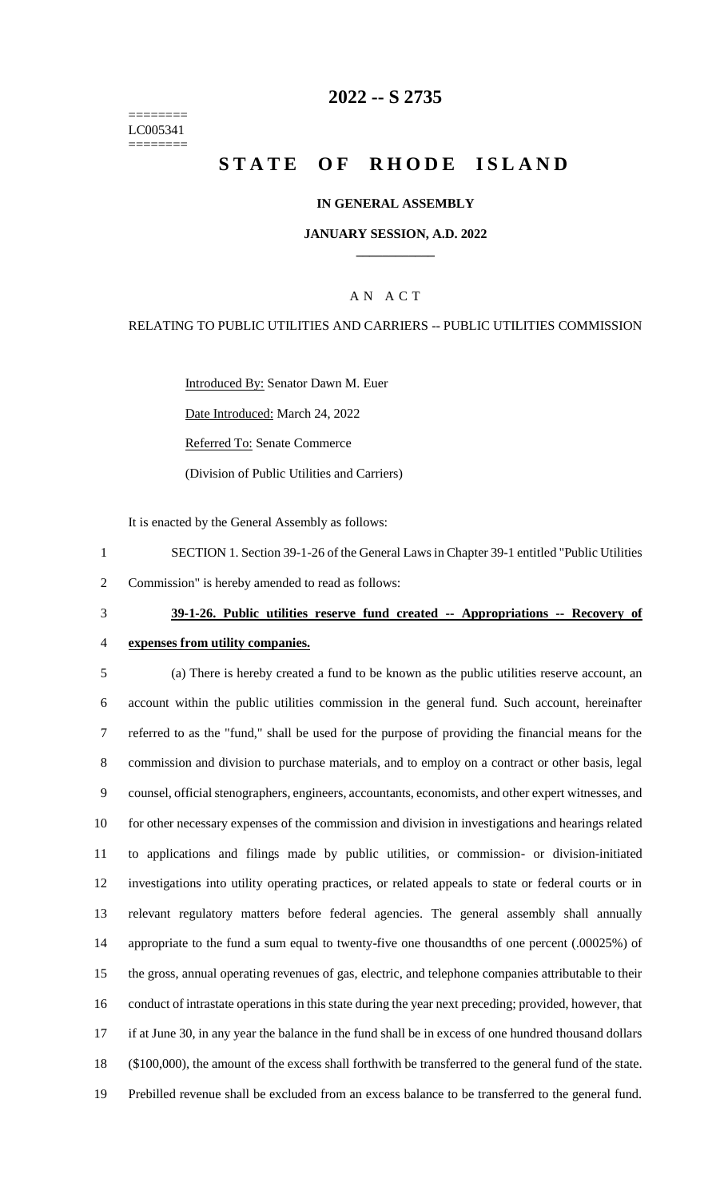======== LC005341 ========

# **2022 -- S 2735**

# **STATE OF RHODE ISLAND**

### **IN GENERAL ASSEMBLY**

#### **JANUARY SESSION, A.D. 2022 \_\_\_\_\_\_\_\_\_\_\_\_**

### A N A C T

### RELATING TO PUBLIC UTILITIES AND CARRIERS -- PUBLIC UTILITIES COMMISSION

Introduced By: Senator Dawn M. Euer

Date Introduced: March 24, 2022

Referred To: Senate Commerce

(Division of Public Utilities and Carriers)

It is enacted by the General Assembly as follows:

1 SECTION 1. Section 39-1-26 of the General Lawsin Chapter 39-1 entitled "Public Utilities

2 Commission" is hereby amended to read as follows:

# 3 **39-1-26. Public utilities reserve fund created -- Appropriations -- Recovery of**

4 **expenses from utility companies.**

 (a) There is hereby created a fund to be known as the public utilities reserve account, an account within the public utilities commission in the general fund. Such account, hereinafter referred to as the "fund," shall be used for the purpose of providing the financial means for the commission and division to purchase materials, and to employ on a contract or other basis, legal counsel, official stenographers, engineers, accountants, economists, and other expert witnesses, and for other necessary expenses of the commission and division in investigations and hearings related to applications and filings made by public utilities, or commission- or division-initiated investigations into utility operating practices, or related appeals to state or federal courts or in relevant regulatory matters before federal agencies. The general assembly shall annually appropriate to the fund a sum equal to twenty-five one thousandths of one percent (.00025%) of the gross, annual operating revenues of gas, electric, and telephone companies attributable to their conduct of intrastate operations in this state during the year next preceding; provided, however, that if at June 30, in any year the balance in the fund shall be in excess of one hundred thousand dollars (\$100,000), the amount of the excess shall forthwith be transferred to the general fund of the state. Prebilled revenue shall be excluded from an excess balance to be transferred to the general fund.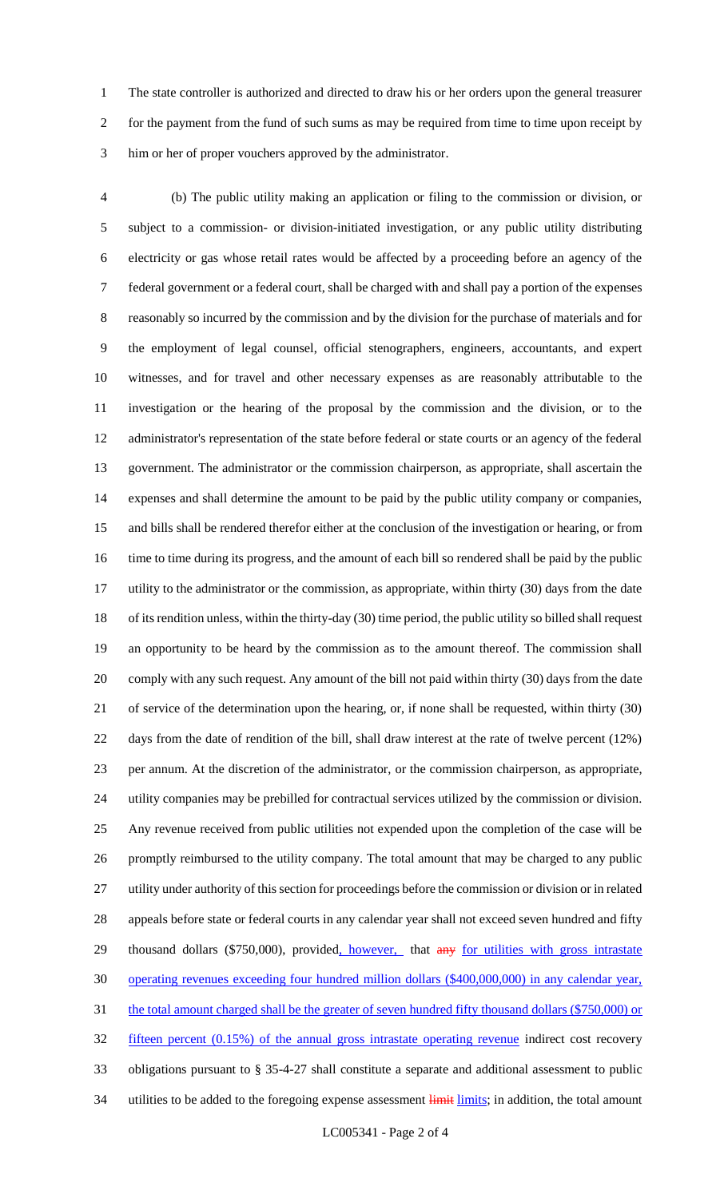The state controller is authorized and directed to draw his or her orders upon the general treasurer 2 for the payment from the fund of such sums as may be required from time to time upon receipt by him or her of proper vouchers approved by the administrator.

 (b) The public utility making an application or filing to the commission or division, or subject to a commission- or division-initiated investigation, or any public utility distributing electricity or gas whose retail rates would be affected by a proceeding before an agency of the federal government or a federal court, shall be charged with and shall pay a portion of the expenses reasonably so incurred by the commission and by the division for the purchase of materials and for the employment of legal counsel, official stenographers, engineers, accountants, and expert witnesses, and for travel and other necessary expenses as are reasonably attributable to the investigation or the hearing of the proposal by the commission and the division, or to the administrator's representation of the state before federal or state courts or an agency of the federal government. The administrator or the commission chairperson, as appropriate, shall ascertain the expenses and shall determine the amount to be paid by the public utility company or companies, and bills shall be rendered therefor either at the conclusion of the investigation or hearing, or from time to time during its progress, and the amount of each bill so rendered shall be paid by the public utility to the administrator or the commission, as appropriate, within thirty (30) days from the date of its rendition unless, within the thirty-day (30) time period, the public utility so billed shall request an opportunity to be heard by the commission as to the amount thereof. The commission shall comply with any such request. Any amount of the bill not paid within thirty (30) days from the date of service of the determination upon the hearing, or, if none shall be requested, within thirty (30) days from the date of rendition of the bill, shall draw interest at the rate of twelve percent (12%) per annum. At the discretion of the administrator, or the commission chairperson, as appropriate, utility companies may be prebilled for contractual services utilized by the commission or division. Any revenue received from public utilities not expended upon the completion of the case will be promptly reimbursed to the utility company. The total amount that may be charged to any public utility under authority of this section for proceedings before the commission or division or in related appeals before state or federal courts in any calendar year shall not exceed seven hundred and fifty 29 thousand dollars (\$750,000), provided, however, that any for utilities with gross intrastate operating revenues exceeding four hundred million dollars (\$400,000,000) in any calendar year, 31 the total amount charged shall be the greater of seven hundred fifty thousand dollars (\$750,000) or fifteen percent (0.15%) of the annual gross intrastate operating revenue indirect cost recovery obligations pursuant to § 35-4-27 shall constitute a separate and additional assessment to public 34 utilities to be added to the foregoing expense assessment limits; in addition, the total amount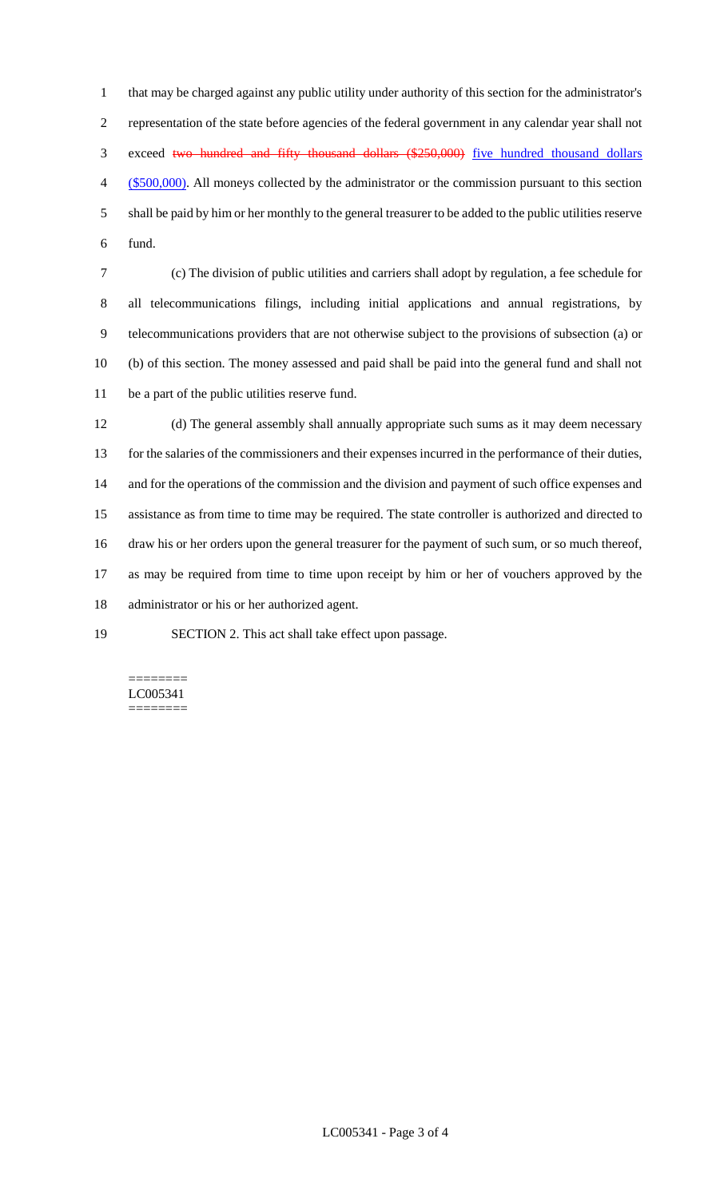that may be charged against any public utility under authority of this section for the administrator's representation of the state before agencies of the federal government in any calendar year shall not exceed two hundred and fifty thousand dollars (\$250,000) five hundred thousand dollars (\$500,000). All moneys collected by the administrator or the commission pursuant to this section shall be paid by him or her monthly to the general treasurer to be added to the public utilities reserve fund.

 (c) The division of public utilities and carriers shall adopt by regulation, a fee schedule for all telecommunications filings, including initial applications and annual registrations, by telecommunications providers that are not otherwise subject to the provisions of subsection (a) or (b) of this section. The money assessed and paid shall be paid into the general fund and shall not be a part of the public utilities reserve fund.

 (d) The general assembly shall annually appropriate such sums as it may deem necessary for the salaries of the commissioners and their expenses incurred in the performance of their duties, and for the operations of the commission and the division and payment of such office expenses and assistance as from time to time may be required. The state controller is authorized and directed to draw his or her orders upon the general treasurer for the payment of such sum, or so much thereof, as may be required from time to time upon receipt by him or her of vouchers approved by the administrator or his or her authorized agent.

SECTION 2. This act shall take effect upon passage.

======== LC005341 ========